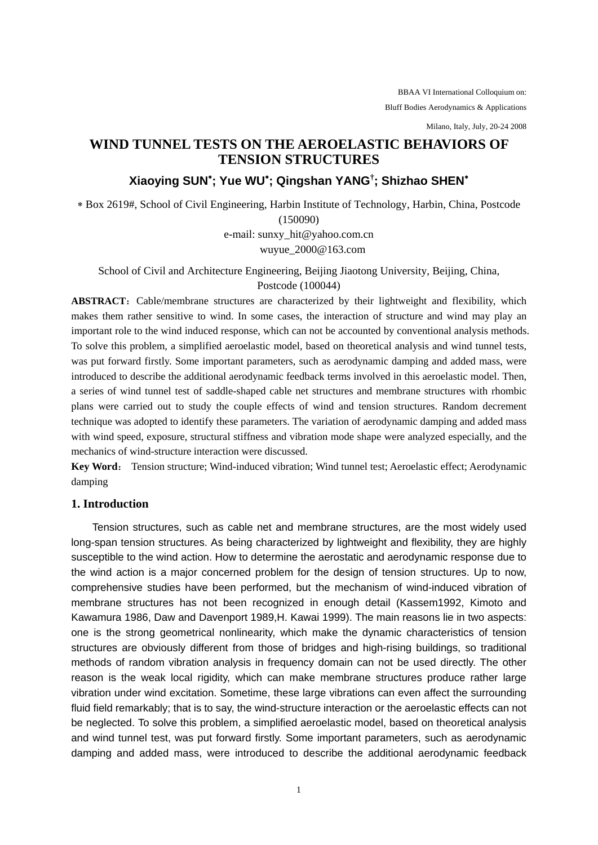BBAA VI International Colloquium on: Bluff Bodies Aerodynamics & Applications

Milano, Italy, July, 20-24 2008

# **WIND TUNNEL TESTS ON THE AEROELASTIC BEHAVIORS OF TENSION STRUCTURES**

# **Xiaoying SUN**<sup>∗</sup> **; Yue WU**<sup>∗</sup> **; Qingshan YANG† ; Shizhao SHEN**<sup>∗</sup>

∗ Box 2619#, School of Civil Engineering, Harbin Institute of Technology, Harbin, China, Postcode

(150090)

e-mail: sunxy\_hit@yahoo.com.cn wuyue\_2000@163.com

School of Civil and Architecture Engineering, Beijing Jiaotong University, Beijing, China, Postcode (100044)

ABSTRACT: Cable/membrane structures are characterized by their lightweight and flexibility, which makes them rather sensitive to wind. In some cases, the interaction of structure and wind may play an important role to the wind induced response, which can not be accounted by conventional analysis methods. To solve this problem, a simplified aeroelastic model, based on theoretical analysis and wind tunnel tests, was put forward firstly. Some important parameters, such as aerodynamic damping and added mass, were introduced to describe the additional aerodynamic feedback terms involved in this aeroelastic model. Then, a series of wind tunnel test of saddle-shaped cable net structures and membrane structures with rhombic plans were carried out to study the couple effects of wind and tension structures. Random decrement technique was adopted to identify these parameters. The variation of aerodynamic damping and added mass with wind speed, exposure, structural stiffness and vibration mode shape were analyzed especially, and the mechanics of wind-structure interaction were discussed.

**Key Word**: Tension structure; Wind-induced vibration; Wind tunnel test; Aeroelastic effect; Aerodynamic damping

### **1. Introduction**

Tension structures, such as cable net and membrane structures, are the most widely used long-span tension structures. As being characterized by lightweight and flexibility, they are highly susceptible to the wind action. How to determine the aerostatic and aerodynamic response due to the wind action is a major concerned problem for the design of tension structures. Up to now, comprehensive studies have been performed, but the mechanism of wind-induced vibration of membrane structures has not been recognized in enough detail (Kassem1992, Kimoto and Kawamura 1986, Daw and Davenport 1989,H. Kawai 1999). The main reasons lie in two aspects: one is the strong geometrical nonlinearity, which make the dynamic characteristics of tension structures are obviously different from those of bridges and high-rising buildings, so traditional methods of random vibration analysis in frequency domain can not be used directly. The other reason is the weak local rigidity, which can make membrane structures produce rather large vibration under wind excitation. Sometime, these large vibrations can even affect the surrounding fluid field remarkably; that is to say, the wind-structure interaction or the aeroelastic effects can not be neglected. To solve this problem, a simplified aeroelastic model, based on theoretical analysis and wind tunnel test, was put forward firstly. Some important parameters, such as aerodynamic damping and added mass, were introduced to describe the additional aerodynamic feedback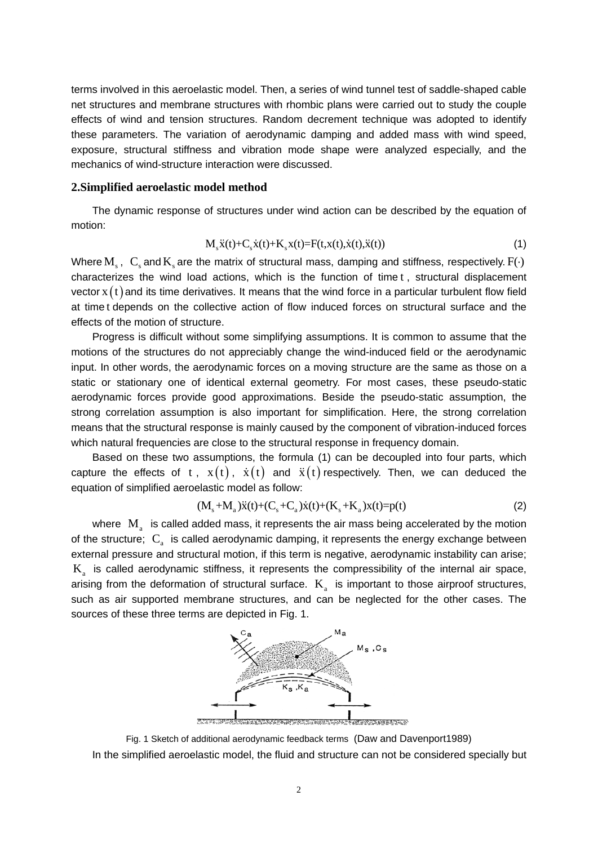terms involved in this aeroelastic model. Then, a series of wind tunnel test of saddle-shaped cable net structures and membrane structures with rhombic plans were carried out to study the couple effects of wind and tension structures. Random decrement technique was adopted to identify these parameters. The variation of aerodynamic damping and added mass with wind speed, exposure, structural stiffness and vibration mode shape were analyzed especially, and the mechanics of wind-structure interaction were discussed.

### **2.Simplified aeroelastic model method**

The dynamic response of structures under wind action can be described by the equation of motion:

$$
M_{s}\ddot{x}(t) + C_{s}\dot{x}(t) + K_{s}x(t) = F(t, x(t), \dot{x}(t), \ddot{x}(t))
$$
\n(1)

Where M<sub>s</sub>, C<sub>s</sub> and K<sub>s</sub> are the matrix of structural mass, damping and stiffness, respectively. F( $\cdot$ ) characterizes the wind load actions, which is the function of time t , structural displacement vector  $x(t)$  and its time derivatives. It means that the wind force in a particular turbulent flow field at time t depends on the collective action of flow induced forces on structural surface and the effects of the motion of structure.

Progress is difficult without some simplifying assumptions. It is common to assume that the motions of the structures do not appreciably change the wind-induced field or the aerodynamic input. In other words, the aerodynamic forces on a moving structure are the same as those on a static or stationary one of identical external geometry. For most cases, these pseudo-static aerodynamic forces provide good approximations. Beside the pseudo-static assumption, the strong correlation assumption is also important for simplification. Here, the strong correlation means that the structural response is mainly caused by the component of vibration-induced forces which natural frequencies are close to the structural response in frequency domain.

Based on these two assumptions, the formula (1) can be decoupled into four parts, which capture the effects of t,  $x(t)$ ,  $\dot{x}(t)$  and  $\ddot{x}(t)$  respectively. Then, we can deduced the equation of simplified aeroelastic model as follow:

$$
(M_s + M_a)\ddot{x}(t) + (C_s + C_a)\dot{x}(t) + (K_s + K_a)x(t) = p(t)
$$
\n(2)

where  $M<sub>a</sub>$  is called added mass, it represents the air mass being accelerated by the motion of the structure;  $C_{a}$  is called aerodynamic damping, it represents the energy exchange between external pressure and structural motion, if this term is negative, aerodynamic instability can arise;  $K<sub>a</sub>$  is called aerodynamic stiffness, it represents the compressibility of the internal air space, arising from the deformation of structural surface.  $K<sub>a</sub>$  is important to those airproof structures, such as air supported membrane structures, and can be neglected for the other cases. The sources of these three terms are depicted in Fig. 1.



Fig. 1 Sketch of additional aerodynamic feedback terms (Daw and Davenport1989)

In the simplified aeroelastic model, the fluid and structure can not be considered specially but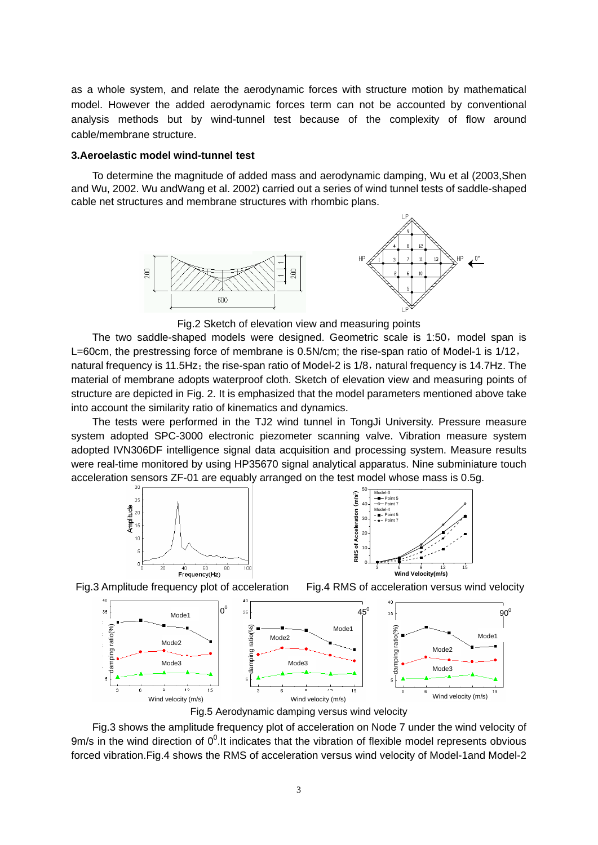as a whole system, and relate the aerodynamic forces with structure motion by mathematical model. However the added aerodynamic forces term can not be accounted by conventional analysis methods but by wind-tunnel test because of the complexity of flow around cable/membrane structure.

#### **3.Aeroelastic model wind-tunnel test**

To determine the magnitude of added mass and aerodynamic damping, Wu et al (2003,Shen and Wu, 2002. Wu andWang et al. 2002) carried out a series of wind tunnel tests of saddle-shaped cable net structures and membrane structures with rhombic plans.





Fig.2 Sketch of elevation view and measuring points

The two saddle-shaped models were designed. Geometric scale is 1:50, model span is L=60cm, the prestressing force of membrane is 0.5N/cm; the rise-span ratio of Model-1 is 1/12, natural frequency is 11.5Hz; the rise-span ratio of Model-2 is  $1/8$ , natural frequency is 14.7Hz. The material of membrane adopts waterproof cloth. Sketch of elevation view and measuring points of structure are depicted in Fig. 2. It is emphasized that the model parameters mentioned above take into account the similarity ratio of kinematics and dynamics.

The tests were performed in the TJ2 wind tunnel in TongJi University. Pressure measure system adopted SPC-3000 electronic piezometer scanning valve. Vibration measure system adopted IVN306DF intelligence signal data acquisition and processing system. Measure results were real-time monitored by using HP35670 signal analytical apparatus. Nine subminiature touch acceleration sensors ZF-01 are equably arranged on the test model whose mass is 0.5g.





Fig.3 Amplitude frequency plot of acceleration Fig.4 RMS of acceleration versus wind velocity



Fig.5 Aerodynamic damping versus wind velocity

Fig.3 shows the amplitude frequency plot of acceleration on Node 7 under the wind velocity of 9m/s in the wind direction of  $0^0$ .It indicates that the vibration of flexible model represents obvious forced vibration.Fig.4 shows the RMS of acceleration versus wind velocity of Model-1and Model-2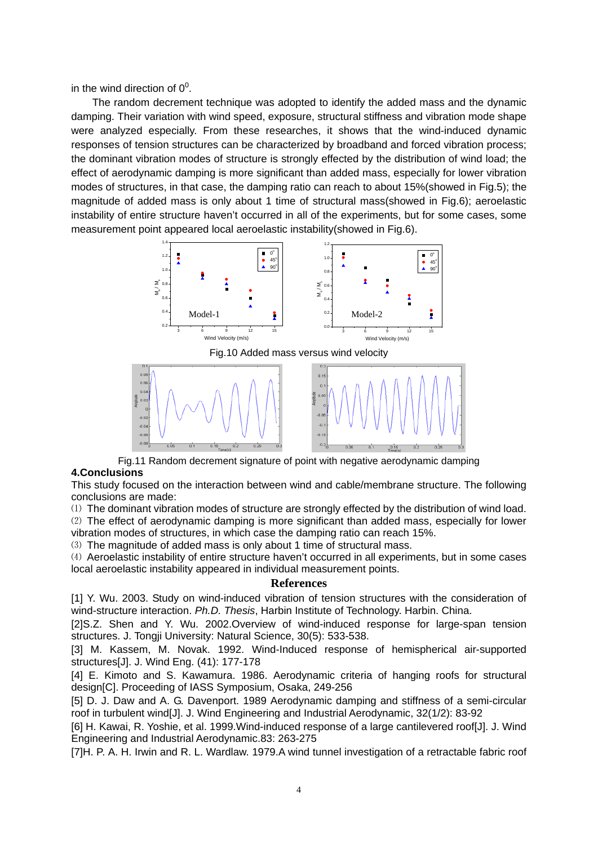in the wind direction of  $0^0$ .

The random decrement technique was adopted to identify the added mass and the dynamic damping. Their variation with wind speed, exposure, structural stiffness and vibration mode shape were analyzed especially. From these researches, it shows that the wind-induced dynamic responses of tension structures can be characterized by broadband and forced vibration process; the dominant vibration modes of structure is strongly effected by the distribution of wind load; the effect of aerodynamic damping is more significant than added mass, especially for lower vibration modes of structures, in that case, the damping ratio can reach to about 15%(showed in Fig.5); the magnitude of added mass is only about 1 time of structural mass(showed in Fig.6); aeroelastic instability of entire structure haven't occurred in all of the experiments, but for some cases, some measurement point appeared local aeroelastic instability(showed in Fig.6).





Fig.11 Random decrement signature of point with negative aerodynamic damping **4.Conclusions** 

This study focused on the interaction between wind and cable/membrane structure. The following conclusions are made:

⑴ The dominant vibration modes of structure are strongly effected by the distribution of wind load.

⑵ The effect of aerodynamic damping is more significant than added mass, especially for lower vibration modes of structures, in which case the damping ratio can reach 15%.

⑶ The magnitude of added mass is only about 1 time of structural mass.

⑷ Aeroelastic instability of entire structure haven't occurred in all experiments, but in some cases local aeroelastic instability appeared in individual measurement points.

### **References**

[1] Y. Wu. 2003. Study on wind-induced vibration of tension structures with the consideration of wind-structure interaction. *Ph.D. Thesis*, Harbin Institute of Technology. Harbin. China.

[2]S.Z. Shen and Y. Wu. 2002.Overview of wind-induced response for large-span tension structures. J. Tongji University: Natural Science, 30(5): 533-538.

[3] M. Kassem, M. Novak. 1992. Wind-Induced response of hemispherical air-supported structures[J]. J. Wind Eng. (41): 177-178

[4] E. Kimoto and S. Kawamura. 1986. Aerodynamic criteria of hanging roofs for structural design[C]. Proceeding of IASS Symposium, Osaka, 249-256

[5] D. J. Daw and A. G. Davenport. 1989 Aerodynamic damping and stiffness of a semi-circular roof in turbulent wind[J]. J. Wind Engineering and Industrial Aerodynamic, 32(1/2): 83-92

[6] H. Kawai, R. Yoshie, et al. 1999.Wind-induced response of a large cantilevered roof[J]. J. Wind Engineering and Industrial Aerodynamic.83: 263-275

[7]H. P. A. H. Irwin and R. L. Wardlaw. 1979.A wind tunnel investigation of a retractable fabric roof